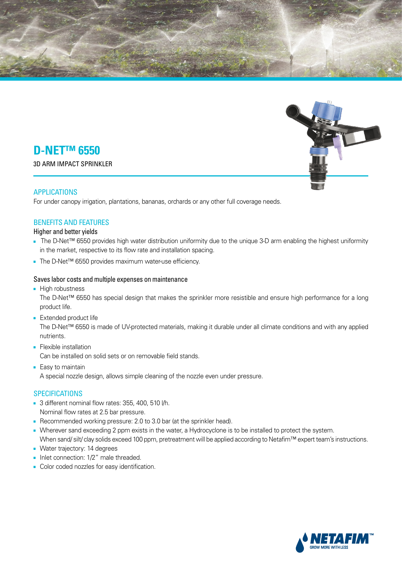



# **D-NET<sup>™</sup> 6550**

**3D ARM IMPACT SPRINKLER** 

## APPLICATIONS

For under canopy irrigation, plantations, bananas, orchards or any other full coverage needs.

## **BENEFITS AND FEATURES**

Higher and better yields

- The D-Net<sup>™</sup> 6550 provides high water distribution uniformity due to the unique 3-D arm enabling the highest uniformity in the market, respective to its flow rate and installation spacing.
- The D-Net<sup>TM</sup> 6550 provides maximum water-use efficiency.

#### Saves labor costs and multiple expenses on maintenance

■ High robustness

The D-Net<sup>™</sup> 6550 has special design that makes the sprinkler more resistible and ensure high performance for a long product life.

■ Extended product life

The D-Net™ 6550 is made of UV-protected materials, making it durable under all climate conditions and with any applied .nutrients

- Flexible installation Can be installed on solid sets or on removable field stands.
- Easy to maintain A special nozzle design, allows simple cleaning of the nozzle even under pressure.

## **SPECIFICATIONS**

- $\blacksquare$  3 different nominal flow rates: 355, 400, 510 l/h. Nominal flow rates at 2.5 bar pressure.
- Recommended working pressure: 2.0 to 3.0 bar (at the sprinkler head).
- . Wherever sand exceeding 2 ppm exists in the water, a Hydrocyclone is to be installed to protect the system. When sand/silt/clay solids exceed 100 ppm, pretreatment will be applied according to Netafim™ expert team's instructions.
- Water trajectory: 14 degrees
- **-** Inlet connection: 1/2" male threaded.
- Color coded nozzles for easy identification.

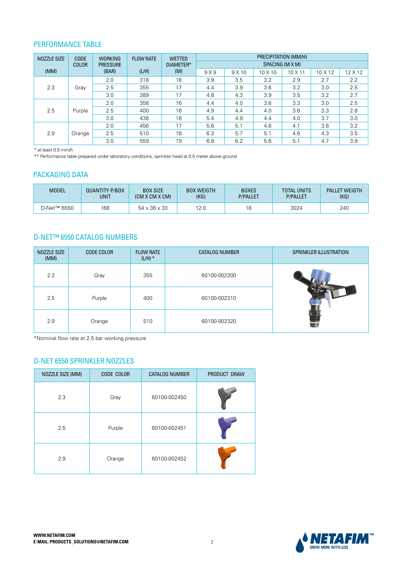#### PERFORMANCE TABLE

| <b>NOZZLE SIZE</b> | CODE                 | <b>WORKING</b> | <b>FLOW RATE</b><br><b>PRESSURE</b><br>(L/H)<br>(BAR) | <b>WETTED</b><br>DIAMETER*<br>(M) | PRECIPITATION (MM/H) |      |         |                |                |         |
|--------------------|----------------------|----------------|-------------------------------------------------------|-----------------------------------|----------------------|------|---------|----------------|----------------|---------|
|                    | <b>COLOR</b><br>(MM) |                |                                                       |                                   | SPACING (M X M)      |      |         |                |                |         |
|                    |                      |                |                                                       |                                   | 9X9                  | 9X10 | 10 X 10 | $10 \times 11$ | $10 \times 12$ | 12 X 12 |
| 2.3                |                      | 2.0            | 318                                                   | 16                                | 3.9                  | 3.5  | 3.2     | 2.9            | 2.7            | 2.2     |
|                    | Gray                 | 2.5            | 355                                                   | 17                                | 4.4                  | 3.9  | 3.6     | 3.2            | 3.0            | 2.5     |
|                    |                      | 3.0            | 389                                                   | 17                                | 4.8                  | 4.3  | 3.9     | 3.5            | 3.2            | 2.7     |
| 2.5                | Purple               | 2.0            | 358                                                   | 16                                | 4.4                  | 4.0  | 3.6     | 3.3            | 3.0            | 2.5     |
|                    |                      | 2.5            | 400                                                   | 18                                | 4.9                  | 4.4  | 4.0     | 3.6            | 3.3            | 2.8     |
|                    |                      | 3.0            | 438                                                   | 18                                | 5.4                  | 4.9  | 4.4     | 4.0            | 3.7            | 3.0     |
| 2.9                | Orange               | 2.0            | 456                                                   | 17                                | 5.6                  | 5.1  | 4.6     | 4.1            | 3.8            | 3.2     |
|                    |                      | 2.5            | 510                                                   | 18                                | 6.3                  | 5.7  | 5.1     | 4.6            | 4.3            | 3.5     |
|                    |                      | 3.0            | 559                                                   | 19                                | 6.9                  | 6.2  | 5.6     | 5.1            | 4.7            | 3.9     |

 $*$  at least 0.5 mm/h

 $\ast\ast$  Performance table prepared under laboratory conditions, sprinkler head at 0.5 meter above ground

## PACKAGING DATA

| <b>MODEL</b> | <b>QUANTITY P/BOX</b> | <b>BOX SIZE</b>          | <b>BOX WEIGTH</b> | <b>BOXES</b>    | <b>TOTAL UNITS</b> | <b>PALLET WEIGTH</b> |
|--------------|-----------------------|--------------------------|-------------------|-----------------|--------------------|----------------------|
|              | <b>UNIT</b>           | (CM X CM X CM)           | (KG)              | <b>P/PALLET</b> | <b>P/PALLET</b>    | (KG)                 |
| D-Net™ 6550  | 168                   | $54 \times 36 \times 33$ | 12.0              | 18              | 3024               | 240                  |

#### **D-NET™ 6550 CATALOG NUMBERS**

| NOZZLE SIZE<br>(MM) | <b>CODE COLOR</b> | <b>FLOW RATE</b><br>$(L/H)$ * | <b>CATALOG NUMBER</b> | SPRINKLER ILLUSTRATION |
|---------------------|-------------------|-------------------------------|-----------------------|------------------------|
| 2.3                 | Gray              | 355                           | 60100-002300          |                        |
| 2.5                 | Purple            | 400                           | 60100-002310          |                        |
| 2.9                 | Orange            | 510                           | 60100-002320          |                        |

\*Nominal flow rate at 2.5 bar working pressure

## D-NET 6550 SPRINKLER NOZZLES

| NOZZLE SIZE (MM) | CODE COLOR | <b>CATALOG NUMBER</b> | PRODUCT DRAW |
|------------------|------------|-----------------------|--------------|
| 2.3              | Gray       | 60100-002450          |              |
| 2.5              | Purple     | 60100-002451          |              |
| 2.9              | Orange     | 60100-002452          |              |